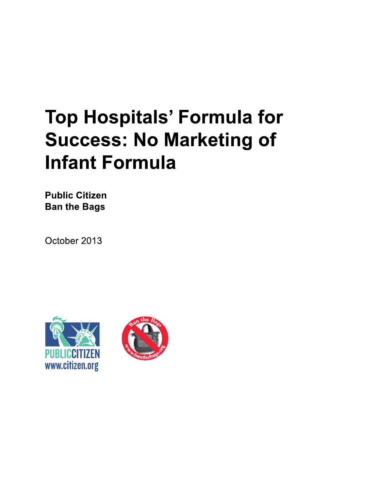# **Top Hospitals' Formula for Success: No Marketing of Infant Formula**

**Public Citizen Ban the Bags** 

October 2013



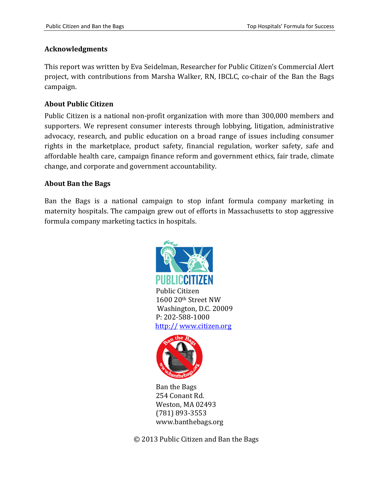#### **Acknowledgments**

This report was written by Eva Seidelman, Researcher for Public Citizen's Commercial Alert project, with contributions from Marsha Walker, RN, IBCLC, co-chair of the Ban the Bags campaign.

#### **About Public Citizen**

Public Citizen is a national non-profit organization with more than 300,000 members and supporters. We represent consumer interests through lobbying, litigation, administrative advocacy, research, and public education on a broad range of issues including consumer rights in the marketplace, product safety, financial regulation, worker safety, safe and affordable health care, campaign finance reform and government ethics, fair trade, climate change, and corporate and government accountability.

#### **About Ban the Bags**

Ban the Bags is a national campaign to stop infant formula company marketing in maternity hospitals. The campaign grew out of efforts in Massachusetts to stop aggressive formula company marketing tactics in hospitals.





Ban the Bags 254 Conant Rd. Weston, MA 02493 (781) 893-3553 www.banthebags.org

© 2013 Public Citizen and Ban the Bags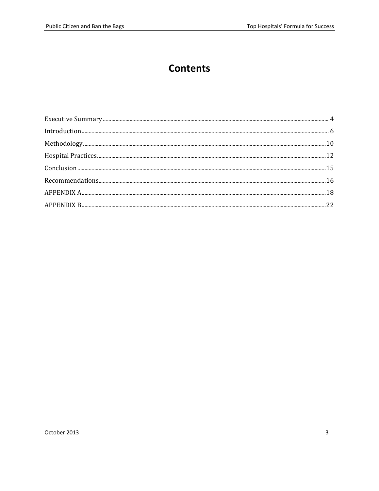### **Contents**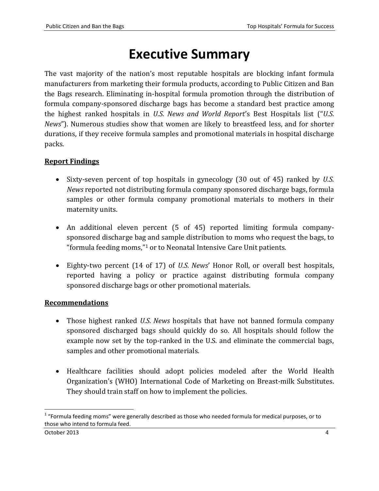### **Executive Summary**

<span id="page-3-0"></span>The vast majority of the nation's most reputable hospitals are blocking infant formula manufacturers from marketing their formula products, according to Public Citizen and Ban the Bags research. Eliminating in-hospital formula promotion through the distribution of formula company-sponsored discharge bags has become a standard best practice among the highest ranked hospitals in *U.S. News and World Report*'s Best Hospitals list ("*U.S. News*"). Numerous studies show that women are likely to breastfeed less, and for shorter durations, if they receive formula samples and promotional materials in hospital discharge packs.

#### **Report Findings**

- Sixty-seven percent of top hospitals in gynecology (30 out of 45) ranked by *U.S. News* reported not distributing formula company sponsored discharge bags, formula samples or other formula company promotional materials to mothers in their maternity units.
- An additional eleven percent (5 of 45) reported limiting formula companysponsored discharge bag and sample distribution to moms who request the bags, to "formula feeding moms," <sup>1</sup> or to Neonatal Intensive Care Unit patients.
- Eighty-two percent (14 of 17) of *U.S. News*' Honor Roll, or overall best hospitals, reported having a policy or practice against distributing formula company sponsored discharge bags or other promotional materials.

#### **Recommendations**

- Those highest ranked *U.S. News* hospitals that have not banned formula company sponsored discharged bags should quickly do so. All hospitals should follow the example now set by the top-ranked in the U.S. and eliminate the commercial bags, samples and other promotional materials.
- Healthcare facilities should adopt policies modeled after the World Health Organization's (WHO) International Code of Marketing on Breast-milk Substitutes. They should train staff on how to implement the policies.

l

 $1$  "Formula feeding moms" were generally described as those who needed formula for medical purposes, or to those who intend to formula feed.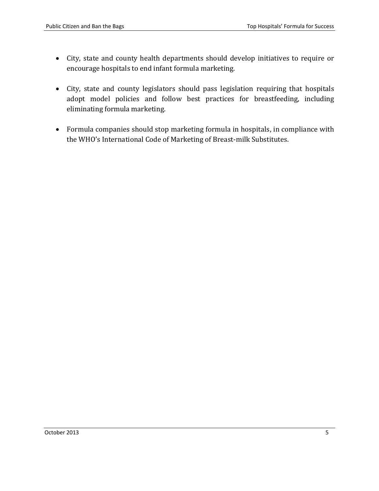- City, state and county health departments should develop initiatives to require or encourage hospitals to end infant formula marketing.
- City, state and county legislators should pass legislation requiring that hospitals adopt model policies and follow best practices for breastfeeding, including eliminating formula marketing.
- Formula companies should stop marketing formula in hospitals, in compliance with the WHO's International Code of Marketing of Breast-milk Substitutes.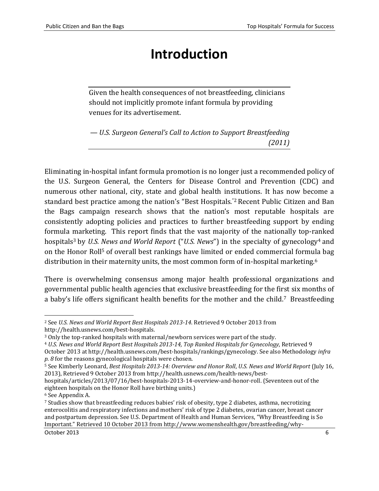### **Introduction**

<span id="page-5-0"></span>Given the health consequences of not breastfeeding, clinicians should not implicitly promote infant formula by providing venues for its advertisement.

*— U.S. Surgeon General's Call to Action to Support Breastfeeding (2011)*

Eliminating in-hospital infant formula promotion is no longer just a recommended policy of the U.S. Surgeon General, the Centers for Disease Control and Prevention (CDC) and numerous other national, city, state and global health institutions. It has now become a standard best practice among the nation's "Best Hospitals."<sup>2</sup> Recent Public Citizen and Ban the Bags campaign research shows that the nation's most reputable hospitals are consistently adopting policies and practices to further breastfeeding support by ending formula marketing. This report finds that the vast majority of the nationally top-ranked hospitals<sup>3</sup> by *U.S. News and World Report* ("*U.S. News*") in the specialty of gynecology<sup>4</sup> and on the Honor Roll<sup>5</sup> of overall best rankings have limited or ended commercial formula bag distribution in their maternity units, the most common form of in-hospital marketing.<sup>6</sup>

There is overwhelming consensus among major health professional organizations and governmental public health agencies that exclusive breastfeeding for the first six months of a baby's life offers significant health benefits for the mother and the child.<sup>7</sup> Breastfeeding

l <sup>2</sup> See *U.S. News and World Report Best Hospitals 2013-14*. Retrieved 9 October 2013 from <http://health.usnews.com/best-hospitals>*.*

<sup>3</sup> Only the top-ranked hospitals with maternal/newborn services were part of the study.

<sup>4</sup> *U.S. News and World Report Best Hospitals 2013-14, Top Ranked Hospitals for Gynecology*, Retrieved 9 October 2013 at [http://health.usnews.com/best-hospitals/rankings/gynecology.](http://health.usnews.com/best-hospitals/rankings/gynecology) See also Methodology *infra p. 8* for the reasons gynecological hospitals were chosen.

<sup>5</sup> See Kimberly Leonard, *Best Hospitals 2013-14: Overview and Honor Roll*, *U.S. News and World Report* (July 16, 2013), Retrieved 9 October 2013 fro[m http://health.usnews.com/health-news/best-](http://health.usnews.com/health-news/best-hospitals/articles/2013/07/16/best-hospitals-2013-14-overview-and-honor-roll)

[hospitals/articles/2013/07/16/best-hospitals-2013-14-overview-and-honor-roll.](http://health.usnews.com/health-news/best-hospitals/articles/2013/07/16/best-hospitals-2013-14-overview-and-honor-roll) (Seventeen out of the eighteen hospitals on the Honor Roll have birthing units.)

<sup>6</sup> See Appendix A.

<sup>7</sup> Studies show that breastfeeding reduces babies' risk of obesity, type 2 diabetes, asthma, necrotizing enterocolitis and respiratory infections and mothers' risk of type 2 diabetes, ovarian cancer, breast cancer and postpartum depression. See U.S. Department of Health and Human Services, "Why Breastfeeding is So Important*.*" Retrieved 10 October 2013 fro[m http://www.womenshealth.gov/breastfeeding/why-](http://www.womenshealth.gov/breastfeeding/why-breastfeeding-is-important/index.html)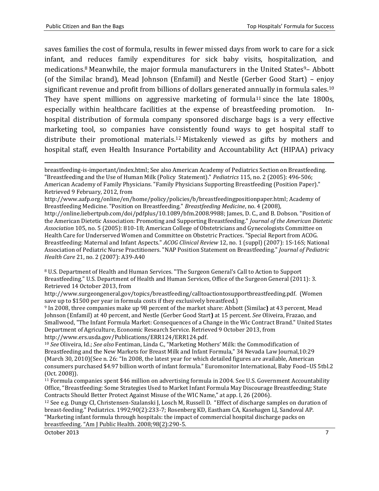$\overline{\phantom{a}}$ 

saves families the cost of formula, results in fewer missed days from work to care for a sick infant, and reduces family expenditures for sick baby visits, hospitalization, and medications.<sup>8</sup> Meanwhile, the major formula manufacturers in the United States<sup>9</sup>- Abbott (of the Similac brand), Mead Johnson (Enfamil) and Nestle (Gerber Good Start) – enjoy significant revenue and profit from billions of dollars generated annually in formula sales.<sup>10</sup> They have spent millions on aggressive marketing of formula<sup>11</sup> since the late 1800s, especially within healthcare facilities at the expense of breastfeeding promotion. Inhospital distribution of formula company sponsored discharge bags is a very effective marketing tool, so companies have consistently found ways to get hospital staff to distribute their promotional materials. <sup>12</sup> Mistakenly viewed as gifts by mothers and hospital staff, even Health Insurance Portability and Accountability Act (HIPAA) privacy

[http://www.aafp.org/online/en/home/policy/policies/b/breastfeedingpositionpaper.html;](http://www.aafp.org/online/en/home/policy/policies/b/breastfeedingpositionpaper.html) Academy of Breastfeeding Medicine. "Position on Breastfeeding." *Breastfeeding Medicine*, no. 4 (2008),

http://online.liebertpub.com/doi/pdfplus/10.1089/bfm.2008.9988; James, D. C., and B. Dobson. "Position of the American Dietetic Association: Promoting and Supporting Breastfeeding." *Journal of the American Dietetic Association* 105, no. 5 (2005): 810-18; American College of Obstetricians and Gynecologists Committee on Health Care for Underserved Women and Committee on Obstetric Practices. "Special Report from ACOG. Breastfeeding: Maternal and Infant Aspects." *ACOG Clinical Review* 12, no. 1 (suppl) (2007): 1S-16S; National Association of Pediatric Nurse Practitioners. "NAP Position Statement on Breastfeeding." *Journal of Pediatric Health Care* 21, no. 2 (2007): A39-A40

<sup>8</sup> U.S. Department of Health and Human Services. "The Surgeon General's Call to Action to Support Breastfeeding." U.S. Department of Health and Human Services, Office of the Surgeon General (2011): 3. Retrieved 14 October 2013, from

http://www.surgeongeneral.gov/topics/breastfeeding/calltoactiontosupportbreastfeeding.pdf. (Women save up to \$1500 per year in formula costs if they exclusively breastfeed.)

<sup>9</sup> In 2008, three companies make up 98 percent of the market share: Abbott (Similac**)** at 43 percent, Mead Johnson (Enfamil) at 40 percent, and Nestle (Gerber Good Start**)** at 15 percent. *See* Oliveira, Frazao, and Smallwood, "The Infant Formula Market: Consequences of a Change in the Wic Contract Brand." United States Department of Agriculture, Economic Research Service. Retrieved 9 October 2013, from [http://www.ers.usda.gov/Publications/ERR124/ERR124.pdf.](http://www.ers.usda.gov/Publications/ERR124/ERR124.pdf) 

<sup>10</sup> *See* Oliveira, Id.; *See also* Fentiman, Linda C., "Marketing Mothers' Milk: the Commodification of Breastfeeding and the New Markets for Breast Milk and Infant Formula," 34 Nevada Law Journal,10:29 (March 30, 2010)(See n. 26: "In 2008, the latest year for which detailed figures are available, American consumers purchased \$4.97 billion worth of infant formula." Euromonitor International, Baby Food–US 5tbl.2 (Oct. 2008)).

<sup>11</sup> Formula companies spent \$46 million on advertising formula in 2004. See U.S. Government Accountability Office, "Breastfeeding: Some Strategies Used to Market Infant Formula May Discourage Breastfeeding; State Contracts Should Better Protect Against Misuse of the WIC Name," at app. I, 26 (2006).

<sup>12</sup> See e.g. Dungy CI, Christensen-Szalanski J, Losch M, Russell D. "Effect of discharge samples on duration of breast-feeding." Pediatrics. 1992;90(2):233-7; Rosenberg KD, Eastham CA, Kasehagen LJ, Sandoval AP. "Marketing infant formula through hospitals: the impact of commercial hospital discharge packs on breastfeeding. "Am J Public Health. 2008;98(2):290-5.

October 2013 7

[breastfeeding-is-important/index.html;](http://www.womenshealth.gov/breastfeeding/why-breastfeeding-is-important/index.html) See also American Academy of Pediatrics Section on Breastfeeding. "Breastfeeding and the Use of Human Milk (Policy Statement)." *Pediatrics* 115, no. 2 (2005): 496-506; American Academy of Family Physicians. "Family Physicians Supporting Breastfeeding (Position Paper)." Retrieved 9 February, 2012, from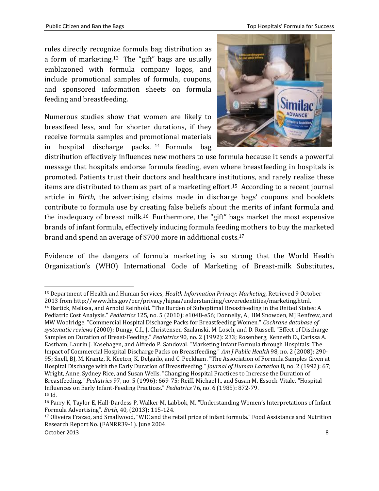Public Citizen and Ban the Bags Top Hospitals' Formula for Success

rules directly recognize formula bag distribution as a form of marketing.<sup>13</sup> The "gift" bags are usually emblazoned with formula company logos, and include promotional samples of formula, coupons, and sponsored information sheets on formula feeding and breastfeeding.

Numerous studies show that women are likely to breastfeed less, and for shorter durations, if they receive formula samples and promotional materials in hospital discharge packs. <sup>14</sup> Formula bag



distribution effectively influences new mothers to use formula because it sends a powerful message that hospitals endorse formula feeding, even where breastfeeding in hospitals is promoted. Patients trust their doctors and healthcare institutions, and rarely realize these items are distributed to them as part of a marketing effort.<sup>15</sup> According to a recent journal article in *Birth*, the advertising claims made in discharge bags' coupons and booklets contribute to formula use by creating false beliefs about the merits of infant formula and the inadequacy of breast milk.<sup>16</sup> Furthermore, the "gift" bags market the most expensive brands of infant formula, effectively inducing formula feeding mothers to buy the marketed brand and spend an average of \$700 more in additional costs.<sup>17</sup>

Evidence of the dangers of formula marketing is so strong that the World Health Organization's (WHO) International Code of Marketing of Breast-milk Substitutes,

l

<sup>13</sup> Department of Health and Human Services, *Health Information Privacy: Marketing,* Retrieved 9 October 2013 fro[m http://www.hhs.gov/ocr/privacy/hipaa/understanding/coveredentities/marketing.html.](http://www.hhs.gov/ocr/privacy/hipaa/understanding/coveredentities/marketing.html) <sup>14</sup> Bartick, Melissa, and Arnold Reinhold. "The Burden of Suboptimal Breastfeeding in the United States: A Pediatric Cost Analysis." *Pediatrics* 125, no. 5 (2010): e1048-e56; Donnelly, A., HM Snowden, MJ Renfrew, and MW Woolridge. "Commercial Hospital Discharge Packs for Breastfeeding Women." *Cochrane database of systematic reviews* (2000); Dungy, C.I., J. Christensen-Szalanski, M. Losch, and D. Russell. "Effect of Discharge Samples on Duration of Breast-Feeding." *Pediatrics* 90, no. 2 (1992): 233; Rosenberg, Kenneth D., Carissa A. Eastham, Laurin J. Kasehagen, and Alfredo P. Sandoval. "Marketing Infant Formula through Hospitals: The Impact of Commercial Hospital Discharge Packs on Breastfeeding." *Am J Public Health* 98, no. 2 (2008): 290- 95; Snell, BJ, M. Krantz, R. Keeton, K. Delgado, and C. Peckham. "The Association of Formula Samples Given at Hospital Discharge with the Early Duration of Breastfeeding." *Journal of Human Lactation* 8, no. 2 (1992): 67; Wright, Anne, Sydney Rice, and Susan Wells. "Changing Hospital Practices to Increase the Duration of Breastfeeding." *Pediatrics* 97, no. 5 (1996): 669-75; Reiff, Michael I., and Susan M. Essock-Vitale. "Hospital Influences on Early Infant-Feeding Practices." *Pediatrics* 76, no. 6 (1985): 872-79. <sup>15</sup> Id.

<sup>16</sup> Parry K, Taylor E, Hall-Dardess P, Walker M, Labbok, M. "Understanding Women's Interpretations of Infant Formula Advertising"*. Birth*, 40, (2013): 115-124.

<sup>17</sup> Oliveira Frazao, and Smallwood, "WIC and the retail price of infant formula." Food Assistance and Nutrition Research Report No. (FANRR39-1). June 2004.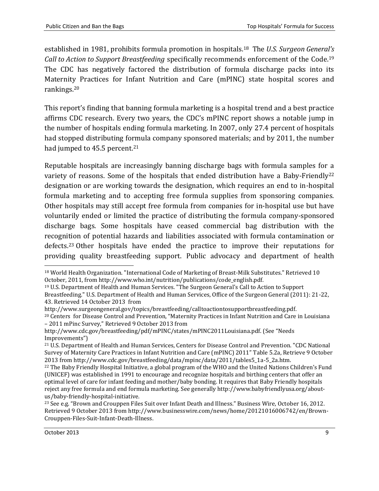established in 1981, prohibits formula promotion in hospitals.<sup>18</sup> The *U.S. Surgeon General's Call to Action to Support Breastfeeding* specifically recommends enforcement of the Code. 19 The CDC has negatively factored the distribution of formula discharge packs into its Maternity Practices for Infant Nutrition and Care (mPINC) state hospital scores and rankings.<sup>20</sup>

This report's finding that banning formula marketing is a hospital trend and a best practice affirms CDC research. Every two years, the CDC's mPINC report shows a notable jump in the number of hospitals ending formula marketing. In 2007, only 27.4 percent of hospitals had stopped distributing formula company sponsored materials; and by 2011, the number had jumped to 45.5 percent.<sup>21</sup>

Reputable hospitals are increasingly banning discharge bags with formula samples for a variety of reasons. Some of the hospitals that ended distribution have a Baby-Friendly<sup>22</sup> designation or are working towards the designation, which requires an end to in-hospital formula marketing and to accepting free formula supplies from sponsoring companies. Other hospitals may still accept free formula from companies for in-hospital use but have voluntarily ended or limited the practice of distributing the formula company-sponsored discharge bags. Some hospitals have ceased commercial bag distribution with the recognition of potential hazards and liabilities associated with formula contamination or defects.<sup>23</sup> Other hospitals have ended the practice to improve their reputations for providing quality breastfeeding support. Public advocacy and department of health

<sup>23</sup> See e.g. "Brown and Crouppen Files Suit over Infant Death and Illness." Business Wire, October 16, 2012. Retrieved 9 October 2013 fro[m http://www.businesswire.com/news/home/20121016006742/en/Brown-](http://www.businesswire.com/news/home/20121016006742/en/Brown-Crouppen-Files-Suit-Infant-Death-Illness)[Crouppen-Files-Suit-Infant-Death-Illness.](http://www.businesswire.com/news/home/20121016006742/en/Brown-Crouppen-Files-Suit-Infant-Death-Illness)

 $\overline{a}$ 

<sup>18</sup> World Health Organization. "International Code of Marketing of Breast-Milk Substitutes." Retrieved 10 October, 2011, from [http://www.who.int/nutrition/publications/code\\_english.pdf.](http://www.who.int/nutrition/publications/code_english.pdf) 

<sup>19</sup> U.S. Department of Health and Human Services. "The Surgeon General's Call to Action to Support

Breastfeeding." U.S. Department of Health and Human Services, Office of the Surgeon General (2011): 21-22, 43. Retrieved 14 October 2013 from

http://www.surgeongeneral.gov/topics/breastfeeding/calltoactiontosupportbreastfeeding.pdf.

<sup>20</sup> Centers for Disease Control and Prevention, "Maternity Practices in Infant Nutrition and Care in Louisiana – 2011 mPinc Survey," Retrieved 9 October 2013 from

<http://www.cdc.gov/breastfeeding/pdf/mPINC/states/mPINC2011Louisiana.pdf>. (See "Needs Improvements")

<sup>21</sup> U.S. Department of Health and Human Services, Centers for Disease Control and Prevention. "CDC National Survey of Maternity Care Practices in Infant Nutrition and Care (mPINC) 2011" Table 5.2a, Retrieve 9 October 2013 fro[m http://www.cdc.gov/breastfeeding/data/mpinc/data/2011/tables5\\_1a-5\\_2a.htm.](http://www.cdc.gov/breastfeeding/data/mpinc/data/2011/tables5_1a-5_2a.htm) 

<sup>&</sup>lt;sup>22</sup> The Baby Friendly Hospital Initiative, a global program of the WHO and the United Nations Children's Fund (UNICEF) was established in 1991 to encourage and recognize hospitals and birthing centers that offer an optimal level of care for infant feeding and mother/baby bonding. It requires that Baby Friendly hospitals reject any free formula and end formula marketing. See generally http://www.babyfriendlyusa.org/aboutus/baby-friendly-hospital-initiative.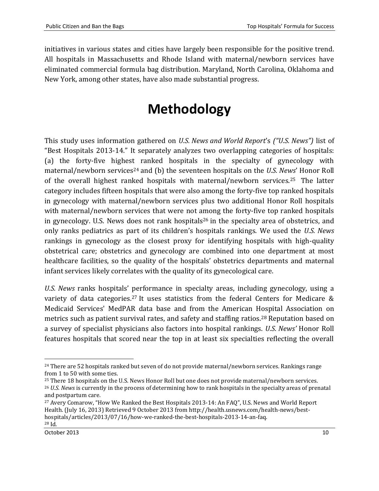initiatives in various states and cities have largely been responsible for the positive trend. All hospitals in Massachusetts and Rhode Island with maternal/newborn services have eliminated commercial formula bag distribution. Maryland, North Carolina, Oklahoma and New York, among other states, have also made substantial progress.

## **Methodology**

<span id="page-9-0"></span>This study uses information gathered on *U.S. News and World Report*'s *("U.S. News")* list of "Best Hospitals 2013-14." It separately analyzes two overlapping categories of hospitals: (a) the forty-five highest ranked hospitals in the specialty of gynecology with maternal/newborn services<sup>24</sup> and (b) the seventeen hospitals on the *U.S. News'* Honor Roll of the overall highest ranked hospitals with maternal/newborn services.25 The latter category includes fifteen hospitals that were also among the forty-five top ranked hospitals in gynecology with maternal/newborn services plus two additional Honor Roll hospitals with maternal/newborn services that were not among the forty-five top ranked hospitals in gynecology. U.S. News does not rank hospitals<sup>26</sup> in the specialty area of obstetrics, and only ranks pediatrics as part of its children's hospitals rankings. We used the *U.S. News* rankings in gynecology as the closest proxy for identifying hospitals with high-quality obstetrical care; obstetrics and gynecology are combined into one department at most healthcare facilities, so the quality of the hospitals' obstetrics departments and maternal infant services likely correlates with the quality of its gynecological care.

*U.S. News* ranks hospitals' performance in specialty areas, including gynecology, using a variety of data categories.<sup>27</sup> It uses statistics from the federal Centers for Medicare & Medicaid Services' MedPAR data base and from the American Hospital Association on metrics such as patient survival rates, and safety and staffing ratios.<sup>28</sup> Reputation based on a survey of specialist physicians also factors into hospital rankings. *U.S. News'* Honor Roll features hospitals that scored near the top in at least six specialties reflecting the overall

<sup>&</sup>lt;sup>24</sup> There are 52 hospitals ranked but seven of do not provide maternal/newborn services. Rankings range from 1 to 50 with some ties.

<sup>&</sup>lt;sup>25</sup> There 18 hospitals on the U.S. News Honor Roll but one does not provide maternal/newborn services. <sup>26</sup> *U.S. News* is currently in the process of determining how to rank hospitals in the specialty areas of prenatal and postpartum care.

<sup>27</sup> Avery Comarow, "How We Ranked the Best Hospitals 2013-14: An FAQ", U.S. News and World Report Health. (July 16, 2013) Retrieved 9 October 2013 fro[m http://health.usnews.com/health-news/best](http://health.usnews.com/health-news/best-hospitals/articles/2013/07/16/how-we-ranked-the-best-hospitals-2013-14-an-faq)[hospitals/articles/2013/07/16/how-we-ranked-the-best-hospitals-2013-14-an-faq.](http://health.usnews.com/health-news/best-hospitals/articles/2013/07/16/how-we-ranked-the-best-hospitals-2013-14-an-faq) <sup>28</sup> Id.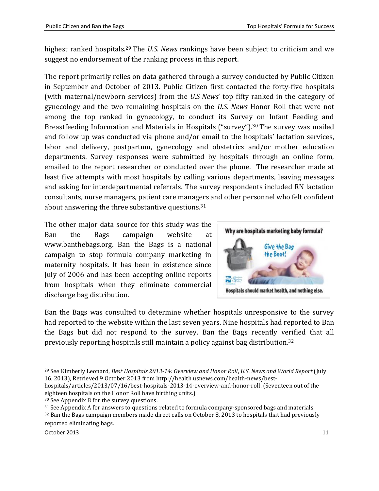highest ranked hospitals.<sup>29</sup> The *U.S. News* rankings have been subject to criticism and we suggest no endorsement of the ranking process in this report.

The report primarily relies on data gathered through a survey conducted by Public Citizen in September and October of 2013. Public Citizen first contacted the forty-five hospitals (with maternal/newborn services) from the *U.S News*' top fifty ranked in the category of gynecology and the two remaining hospitals on the *U.S. News* Honor Roll that were not among the top ranked in gynecology, to conduct its Survey on Infant Feeding and Breastfeeding Information and Materials in Hospitals ("survey").<sup>30</sup> The survey was mailed and follow up was conducted via phone and/or email to the hospitals' lactation services, labor and delivery, postpartum, gynecology and obstetrics and/or mother education departments. Survey responses were submitted by hospitals through an online form, emailed to the report researcher or conducted over the phone. The researcher made at least five attempts with most hospitals by calling various departments, leaving messages and asking for interdepartmental referrals. The survey respondents included RN lactation consultants, nurse managers, patient care managers and other personnel who felt confident about answering the three substantive questions.<sup>31</sup>

The other major data source for this study was the Ban the Bags campaign website at www.banthebags.org. Ban the Bags is a national campaign to stop formula company marketing in maternity hospitals. It has been in existence since July of 2006 and has been accepting online reports from hospitals when they eliminate commercial discharge bag distribution.



Ban the Bags was consulted to determine whether hospitals unresponsive to the survey had reported to the website within the last seven years. Nine hospitals had reported to Ban the Bags but did not respond to the survey. Ban the Bags recently verified that all previously reporting hospitals still maintain a policy against bag distribution.<sup>32</sup>

eighteen hospitals on the Honor Roll have birthing units.)

<sup>30</sup> See Appendix B for the survey questions.

<sup>31</sup> See Appendix A for answers to questions related to formula company-sponsored bags and materials. <sup>32</sup> Ban the Bags campaign members made direct calls on October 8, 2013 to hospitals that had previously

reported eliminating bags.

<sup>29</sup> See Kimberly Leonard, *Best Hospitals 2013-14: Overview and Honor Roll*, *U.S. News and World Report* (July 16, 2013), Retrieved 9 October 2013 from http://health.usnews.com/health-news/besthospitals/articles/2013/07/16/best-hospitals-2013-14-overview-and-honor-roll. (Seventeen out of the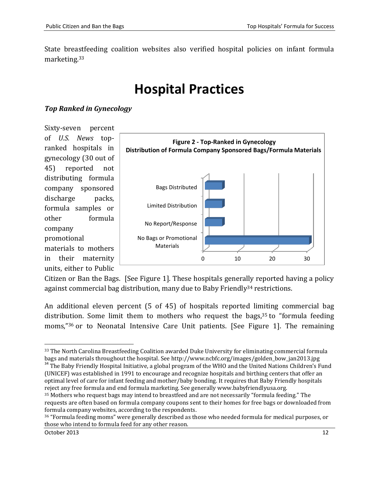<span id="page-11-0"></span>State breastfeeding coalition websites also verified hospital policies on infant formula marketing.<sup>33</sup>

### **Hospital Practices**

#### *Top Ranked in Gynecology*

Sixty-seven percent of *U.S. News* topranked hospitals in gynecology (30 out of 45) reported not distributing formula company sponsored discharge packs, formula samples or other formula company promotional materials to mothers in their maternity units, either to Public



Citizen or Ban the Bags. [See Figure 1]. These hospitals generally reported having a policy against commercial bag distribution, many due to Baby Friendly<sup>34</sup> restrictions.

An additional eleven percent (5 of 45) of hospitals reported limiting commercial bag distribution. Some limit them to mothers who request the bags,<sup>35</sup> to "formula feeding moms," <sup>36</sup> or to Neonatal Intensive Care Unit patients. [See Figure 1]. The remaining

 $\overline{\phantom{a}}$ <sup>33</sup> The North Carolina Breastfeeding Coalition awarded Duke University for eliminating commercial formula bags and materials throughout the hospital. See [http://www.ncbfc.org/images/golden\\_bow\\_jan2013.jpg](http://www.ncbfc.org/images/golden_bow_jan2013.jpg)

<sup>&</sup>lt;sup>34</sup> The Baby Friendly Hospital Initiative, a global program of the WHO and the United Nations Children's Fund (UNICEF) was established in 1991 to encourage and recognize hospitals and birthing centers that offer an optimal level of care for infant feeding and mother/baby bonding. It requires that Baby Friendly hospitals reject any free formula and end formula marketing. See generall[y www.babyfriendlyusa.org.](http://www.babyfriendlyusa.org/)

<sup>35</sup> Mothers who request bags may intend to breastfeed and are not necessarily "formula feeding." The requests are often based on formula company coupons sent to their homes for free bags or downloaded from formula company websites, according to the respondents.

<sup>36</sup> "Formula feeding moms" were generally described as those who needed formula for medical purposes, or those who intend to formula feed for any other reason.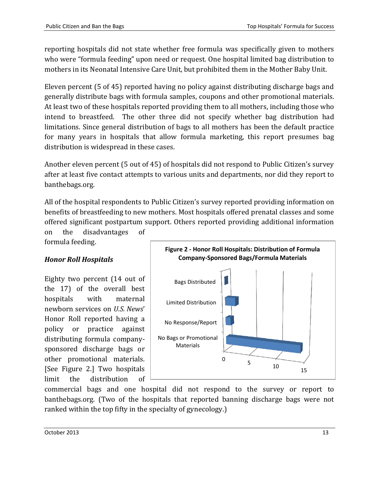reporting hospitals did not state whether free formula was specifically given to mothers who were "formula feeding" upon need or request. One hospital limited bag distribution to mothers in its Neonatal Intensive Care Unit, but prohibited them in the Mother Baby Unit.

Eleven percent (5 of 45) reported having no policy against distributing discharge bags and generally distribute bags with formula samples, coupons and other promotional materials. At least two of these hospitals reported providing them to all mothers, including those who intend to breastfeed. The other three did not specify whether bag distribution had limitations. Since general distribution of bags to all mothers has been the default practice for many years in hospitals that allow formula marketing, this report presumes bag distribution is widespread in these cases.

Another eleven percent (5 out of 45) of hospitals did not respond to Public Citizen's survey after at least five contact attempts to various units and departments, nor did they report to banthebags.org.

All of the hospital respondents to Public Citizen's survey reported providing information on benefits of breastfeeding to new mothers. Most hospitals offered prenatal classes and some offered significant postpartum support. Others reported providing additional information

on the disadvantages of formula feeding.

#### *Honor Roll Hospitals*

Eighty two percent (14 out of the 17) of the overall best hospitals with maternal newborn services on *U.S. News*' Honor Roll reported having a policy or practice against distributing formula companysponsored discharge bags or other promotional materials. [See Figure 2.] Two hospitals limit the distribution of



commercial bags and one hospital did not respond to the survey or report to banthebags.org. (Two of the hospitals that reported banning discharge bags were not ranked within the top fifty in the specialty of gynecology.)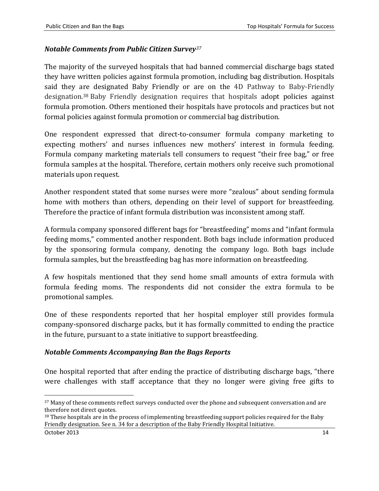#### *Notable Comments from Public Citizen Survey<sup>37</sup>*

The majority of the surveyed hospitals that had banned commercial discharge bags stated they have written policies against formula promotion, including bag distribution. Hospitals said they are designated Baby Friendly or are on the 4D Pathway to Baby-Friendly designation.<sup>38</sup> Baby Friendly designation requires that hospitals adopt policies against formula promotion. Others mentioned their hospitals have protocols and practices but not formal policies against formula promotion or commercial bag distribution.

One respondent expressed that direct-to-consumer formula company marketing to expecting mothers' and nurses influences new mothers' interest in formula feeding. Formula company marketing materials tell consumers to request "their free bag," or free formula samples at the hospital. Therefore, certain mothers only receive such promotional materials upon request.

Another respondent stated that some nurses were more "zealous" about sending formula home with mothers than others, depending on their level of support for breastfeeding. Therefore the practice of infant formula distribution was inconsistent among staff.

A formula company sponsored different bags for "breastfeeding" moms and "infant formula feeding moms," commented another respondent. Both bags include information produced by the sponsoring formula company, denoting the company logo. Both bags include formula samples, but the breastfeeding bag has more information on breastfeeding.

A few hospitals mentioned that they send home small amounts of extra formula with formula feeding moms. The respondents did not consider the extra formula to be promotional samples.

One of these respondents reported that her hospital employer still provides formula company-sponsored discharge packs, but it has formally committed to ending the practice in the future, pursuant to a state initiative to support breastfeeding.

#### *Notable Comments Accompanying Ban the Bags Reports*

One hospital reported that after ending the practice of distributing discharge bags, "there were challenges with staff acceptance that they no longer were giving free gifts to

 $\overline{a}$ 

<sup>&</sup>lt;sup>37</sup> Many of these comments reflect surveys conducted over the phone and subsequent conversation and are therefore not direct quotes.

<sup>&</sup>lt;sup>38</sup> These hospitals are in the process of implementing breastfeeding support policies required for the Baby Friendly designation. See n. 34 for a description of the Baby Friendly Hospital Initiative.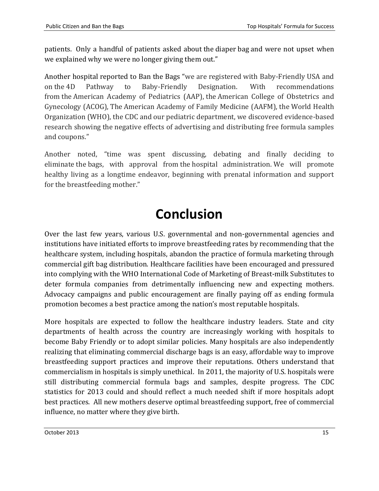patients. Only a handful of patients asked about the diaper bag and were not upset when we explained why we were no longer giving them out."

Another hospital reported to Ban the Bags "we are registered with Baby-Friendly USA and on the 4D Pathway to Baby-Friendly Designation. With recommendations from the American Academy of Pediatrics (AAP), the American College of Obstetrics and Gynecology (ACOG), The American Academy of Family Medicine (AAFM), the World Health Organization (WHO), the CDC and our pediatric department, we discovered evidence-based research showing the negative effects of advertising and distributing free formula samples and coupons."

Another noted, "time was spent discussing, debating and finally deciding to eliminate the bags, with approval from the hospital administration. We will promote healthy living as a longtime endeavor, beginning with prenatal information and support for the breastfeeding mother."

### <span id="page-14-0"></span>**Conclusion**

Over the last few years, various U.S. governmental and non-governmental agencies and institutions have initiated efforts to improve breastfeeding rates by recommending that the healthcare system, including hospitals, abandon the practice of formula marketing through commercial gift bag distribution. Healthcare facilities have been encouraged and pressured into complying with the WHO International Code of Marketing of Breast-milk Substitutes to deter formula companies from detrimentally influencing new and expecting mothers. Advocacy campaigns and public encouragement are finally paying off as ending formula promotion becomes a best practice among the nation's most reputable hospitals.

More hospitals are expected to follow the healthcare industry leaders. State and city departments of health across the country are increasingly working with hospitals to become Baby Friendly or to adopt similar policies. Many hospitals are also independently realizing that eliminating commercial discharge bags is an easy, affordable way to improve breastfeeding support practices and improve their reputations. Others understand that commercialism in hospitals is simply unethical. In 2011, the majority of U.S. hospitals were still distributing commercial formula bags and samples, despite progress. The CDC statistics for 2013 could and should reflect a much needed shift if more hospitals adopt best practices. All new mothers deserve optimal breastfeeding support, free of commercial influence, no matter where they give birth.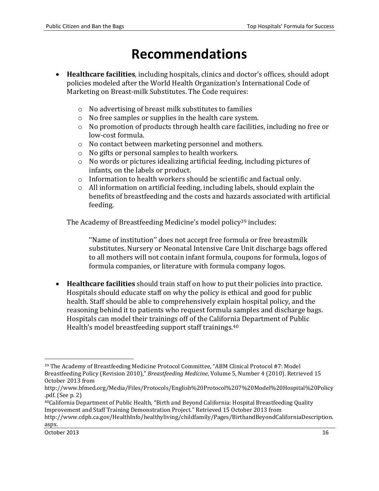### **Recommendations**

- <span id="page-15-0"></span> **Healthcare facilities**, including hospitals, clinics and doctor's offices, should adopt policies modeled after the World Health Organization's International Code of Marketing on Breast-milk Substitutes. The Code requires:
	- o No advertising of breast milk substitutes to families
	- o No free samples or supplies in the health care system.
	- o No promotion of products through health care facilities, including no free or low-cost formula.
	- o No contact between marketing personnel and mothers.
	- o No gifts or personal samples to health workers.
	- o No words or pictures idealizing artificial feeding, including pictures of infants, on the labels or product.
	- o Information to health workers should be scientific and factual only.
	- o All information on artificial feeding, including labels, should explain the benefits of breastfeeding and the costs and hazards associated with artificial feeding.

The Academy of Breastfeeding Medicine's model policy<sup>39</sup> includes:

''Name of institution'' does not accept free formula or free breastmilk substitutes. Nursery or Neonatal Intensive Care Unit discharge bags offered to all mothers will not contain infant formula, coupons for formula, logos of formula companies, or literature with formula company logos.

 **Healthcare facilities** should train staff on how to put their policies into practice. Hospitals should educate staff on why the policy is ethical and good for public health. Staff should be able to comprehensively explain hospital policy, and the reasoning behind it to patients who request formula samples and discharge bags. Hospitals can model their trainings off of the California Department of Public Health's model breastfeeding support staff trainings.<sup>40</sup>

<sup>39</sup> The Academy of Breastfeeding Medicine Protocol Committee, "ABM Clinical Protocol #7: Model Breastfeeding Policy (Revision 2010)," *Breastfeeding Medicine*, Volume 5, Number 4 (2010). Retrieved 15 October 2013 from

[http://www.bfmed.org/Media/Files/Protocols/English%20Protocol%207%20Model%20Hospital%20Policy](http://www.bfmed.org/Media/Files/Protocols/English%20Protocol%207%20Model%20Hospital%20Policy.pdf) [.pdf.](http://www.bfmed.org/Media/Files/Protocols/English%20Protocol%207%20Model%20Hospital%20Policy.pdf) (See p. 2)

<sup>40</sup>California Department of Public Health, "Birth and Beyond California: Hospital Breastfeeding Quality Improvement and Staff Training Demonstration Project*.*" Retrieved 15 October 2013 from [http://www.cdph.ca.gov/HealthInfo/healthyliving/childfamily/Pages/BirthandBeyondCaliforniaDescription.](http://www.cdph.ca.gov/HealthInfo/healthyliving/childfamily/Pages/BirthandBeyondCaliforniaDescription.aspx) [aspx.](http://www.cdph.ca.gov/HealthInfo/healthyliving/childfamily/Pages/BirthandBeyondCaliforniaDescription.aspx)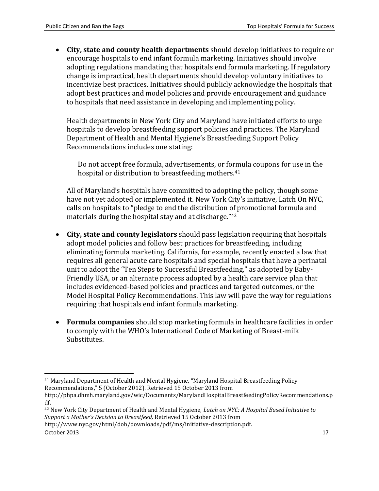**City, state and county health departments** should develop initiatives to require or encourage hospitals to end infant formula marketing. Initiatives should involve adopting regulations mandating that hospitals end formula marketing. If regulatory change is impractical, health departments should develop voluntary initiatives to incentivize best practices. Initiatives should publicly acknowledge the hospitals that adopt best practices and model policies and provide encouragement and guidance to hospitals that need assistance in developing and implementing policy.

Health departments in New York City and Maryland have initiated efforts to urge hospitals to develop breastfeeding support policies and practices. The Maryland Department of Health and Mental Hygiene's Breastfeeding Support Policy Recommendations includes one stating:

Do not accept free formula, advertisements, or formula coupons for use in the hospital or distribution to breastfeeding mothers.<sup>41</sup>

All of Maryland's hospitals have committed to adopting the policy, though some have not yet adopted or implemented it. New York City's initiative, Latch On NYC, calls on hospitals to "pledge to end the distribution of promotional formula and materials during the hospital stay and at discharge."<sup>42</sup>

- **City, state and county legislators** should pass legislation requiring that hospitals adopt model policies and follow best practices for breastfeeding, including eliminating formula marketing. California, for example, recently enacted a law that requires all general acute care hospitals and special hospitals that have a perinatal unit to adopt the "Ten Steps to Successful Breastfeeding," as adopted by Baby-Friendly USA, or an alternate process adopted by a health care service plan that includes evidenced-based policies and practices and targeted outcomes, or the Model Hospital Policy Recommendations. This law will pave the way for regulations requiring that hospitals end infant formula marketing.
- **Formula companies** should stop marketing formula in healthcare facilities in order to comply with the WHO's International Code of Marketing of Breast-milk Substitutes.

October 2013 17

l <sup>41</sup> Maryland Department of Health and Mental Hygiene, "Maryland Hospital Breastfeeding Policy Recommendations," 5 (October 2012). Retrieved 15 October 2013 from

[http://phpa.dhmh.maryland.gov/wic/Documents/MarylandHospitalBreastfeedingPolicyRecommendations.p](http://phpa.dhmh.maryland.gov/wic/Documents/MarylandHospitalBreastfeedingPolicyRecommendations.pdf) [df.](http://phpa.dhmh.maryland.gov/wic/Documents/MarylandHospitalBreastfeedingPolicyRecommendations.pdf) 

<sup>42</sup> New York City Department of Health and Mental Hygiene, *Latch on NYC: A Hospital Based Initiative to Support a Mother's Decision to Breastfeed,* Retrieved 15 October 2013 from [http://www.nyc.gov/html/doh/downloads/pdf/ms/initiative-description.pdf.](http://www.nyc.gov/html/doh/downloads/pdf/ms/initiative-description.pdf)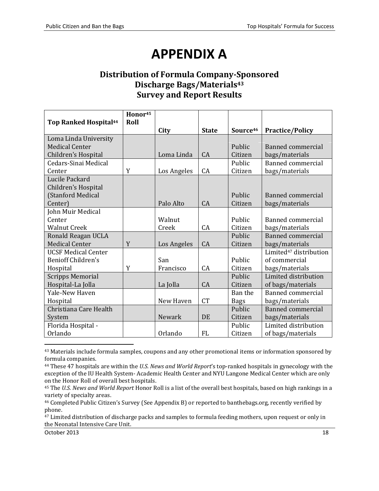### **APPENDIX A**

#### <span id="page-17-0"></span>**Distribution of Formula Company-Sponsored Discharge Bags/Materials<sup>43</sup> Survey and Report Results**

|                              | Honor <sup>45</sup> |             |              |                      |                                    |
|------------------------------|---------------------|-------------|--------------|----------------------|------------------------------------|
| <b>Top Ranked Hospital44</b> | Roll                | City        | <b>State</b> | Source <sup>46</sup> | <b>Practice/Policy</b>             |
| Loma Linda University        |                     |             |              |                      |                                    |
| <b>Medical Center</b>        |                     |             |              | Public               | Banned commercial                  |
| Children's Hospital          |                     | Loma Linda  | CA           | Citizen              | bags/materials                     |
| Cedars-Sinai Medical         |                     |             |              | Public               | <b>Banned commercial</b>           |
| Center                       | Y                   | Los Angeles | CA           | Citizen              | bags/materials                     |
| Lucile Packard               |                     |             |              |                      |                                    |
| Children's Hospital          |                     |             |              |                      |                                    |
| (Stanford Medical            |                     |             |              | Public               | Banned commercial                  |
| Center)                      |                     | Palo Alto   | CA           | Citizen              | bags/materials                     |
| John Muir Medical            |                     |             |              |                      |                                    |
| Center                       |                     | Walnut      |              | Public               | Banned commercial                  |
| <b>Walnut Creek</b>          |                     | Creek       | CA           | Citizen              | bags/materials                     |
| Ronald Reagan UCLA           |                     |             |              | Public               | <b>Banned commercial</b>           |
| <b>Medical Center</b>        | Y                   | Los Angeles | CA           | Citizen              | bags/materials                     |
| <b>UCSF Medical Center</b>   |                     |             |              |                      | Limited <sup>47</sup> distribution |
| <b>Benioff Children's</b>    |                     | San         |              | Public               | of commercial                      |
| Hospital                     | Y                   | Francisco   | CA           | Citizen              | bags/materials                     |
| <b>Scripps Memorial</b>      |                     |             |              | Public               | Limited distribution               |
| Hospital-La Jolla            |                     | La Jolla    | CA           | Citizen              | of bags/materials                  |
| Yale-New Haven               |                     |             |              | Ban the              | <b>Banned commercial</b>           |
| Hospital                     |                     | New Haven   | <b>CT</b>    | <b>Bags</b>          | bags/materials                     |
| Christiana Care Health       |                     |             |              | Public               | Banned commercial                  |
| System                       |                     | Newark      | DE           | Citizen              | bags/materials                     |
| Florida Hospital -           |                     |             |              | Public               | Limited distribution               |
| Orlando                      |                     | Orlando     | FL           | Citizen              | of bags/materials                  |

43 Materials include formula samples, coupons and any other promotional items or information sponsored by formula companies.

<sup>44</sup> These 47 hospitals are within the *U.S. News and World Report*'s top-ranked hospitals in gynecology with the exception of the IU Health System- Academic Health Center and NYU Langone Medical Center which are only on the Honor Roll of overall best hospitals.

<sup>45</sup> The *U.S. News and World Report* Honor Roll is a list of the overall best hospitals, based on high rankings in a variety of specialty areas.

<sup>47</sup> Limited distribution of discharge packs and samples to formula feeding mothers, upon request or only in the Neonatal Intensive Care Unit.

 $\overline{a}$ 

<sup>46</sup> Completed Public Citizen's Survey (See Appendix B) or reported to banthebags.org, recently verified by phone.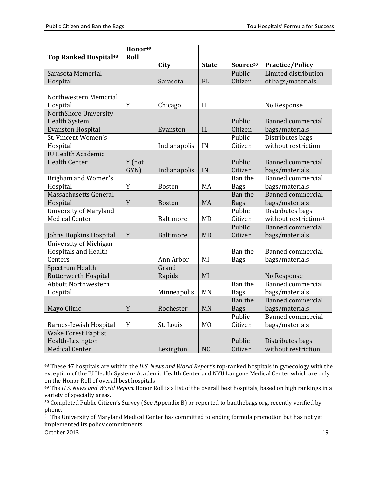|                                         | Honor <sup>49</sup><br>Roll |                  |                |                      |                                   |
|-----------------------------------------|-----------------------------|------------------|----------------|----------------------|-----------------------------------|
| <b>Top Ranked Hospital<sup>48</sup></b> |                             | City             | <b>State</b>   | Source <sup>50</sup> | <b>Practice/Policy</b>            |
| Sarasota Memorial                       |                             |                  |                | Public               | Limited distribution              |
| Hospital                                |                             | Sarasota         | <b>FL</b>      | Citizen              | of bags/materials                 |
|                                         |                             |                  |                |                      |                                   |
| Northwestern Memorial                   |                             |                  |                |                      |                                   |
| Hospital                                | Y                           | Chicago          | IL             |                      | No Response                       |
| NorthShore University                   |                             |                  |                |                      |                                   |
| <b>Health System</b>                    |                             |                  |                | Public               | <b>Banned commercial</b>          |
| <b>Evanston Hospital</b>                |                             | Evanston         | IL             | Citizen              | bags/materials                    |
| St. Vincent Women's                     |                             |                  |                | Public               | Distributes bags                  |
| Hospital                                |                             | Indianapolis     | IN             | Citizen              | without restriction               |
| <b>IU Health Academic</b>               |                             |                  |                |                      |                                   |
| <b>Health Center</b>                    | Y (not                      |                  |                | Public               | <b>Banned commercial</b>          |
|                                         | GYN)                        | Indianapolis     | IN             | Citizen              | bags/materials                    |
| <b>Brigham and Women's</b>              |                             |                  |                | Ban the              | <b>Banned commercial</b>          |
| Hospital                                | Y                           | Boston           | MA             | <b>Bags</b>          | bags/materials                    |
| Massachusetts General                   |                             |                  |                | Ban the              | <b>Banned commercial</b>          |
| Hospital                                | Y                           | <b>Boston</b>    | <b>MA</b>      | <b>Bags</b>          | bags/materials                    |
| <b>University of Maryland</b>           |                             |                  |                | Public               | Distributes bags                  |
| <b>Medical Center</b>                   |                             | Baltimore        | MD             | Citizen              | without restriction <sup>51</sup> |
|                                         |                             |                  |                | Public               | <b>Banned commercial</b>          |
| Johns Hopkins Hospital                  | Y                           | <b>Baltimore</b> | <b>MD</b>      | Citizen              | bags/materials                    |
| University of Michigan                  |                             |                  |                |                      |                                   |
| <b>Hospitals and Health</b>             |                             |                  |                | Ban the              | <b>Banned commercial</b>          |
| Centers                                 |                             | Ann Arbor        | MI             | <b>Bags</b>          | bags/materials                    |
| Spectrum Health                         |                             | Grand            |                |                      |                                   |
| <b>Butterworth Hospital</b>             |                             | Rapids           | MI             |                      | No Response                       |
| <b>Abbott Northwestern</b>              |                             |                  |                | Ban the              | <b>Banned commercial</b>          |
| Hospital                                |                             | Minneapolis      | <b>MN</b>      | <b>Bags</b>          | bags/materials                    |
|                                         |                             |                  |                | Ban the              | <b>Banned commercial</b>          |
| Mayo Clinic                             | Y                           | Rochester        | <b>MN</b>      | <b>Bags</b>          | bags/materials                    |
|                                         |                             |                  |                | Public               | <b>Banned commercial</b>          |
| Barnes-Jewish Hospital                  | Y                           | St. Louis        | M <sub>O</sub> | Citizen              | bags/materials                    |
| <b>Wake Forest Baptist</b>              |                             |                  |                |                      |                                   |
| Health-Lexington                        |                             |                  |                | Public               | Distributes bags                  |
| <b>Medical Center</b>                   |                             | Lexington        | <b>NC</b>      | Citizen              | without restriction               |

<sup>48</sup> These 47 hospitals are within the *U.S. News and World Report*'s top-ranked hospitals in gynecology with the exception of the IU Health System- Academic Health Center and NYU Langone Medical Center which are only on the Honor Roll of overall best hospitals.

<sup>51</sup> The University of Maryland Medical Center has committed to ending formula promotion but has not yet implemented its policy commitments.

October 2013 19

<sup>49</sup> The *U.S. News and World Report* Honor Roll is a list of the overall best hospitals, based on high rankings in a variety of specialty areas.

<sup>50</sup> Completed Public Citizen's Survey (See Appendix B) or reported to banthebags.org, recently verified by phone.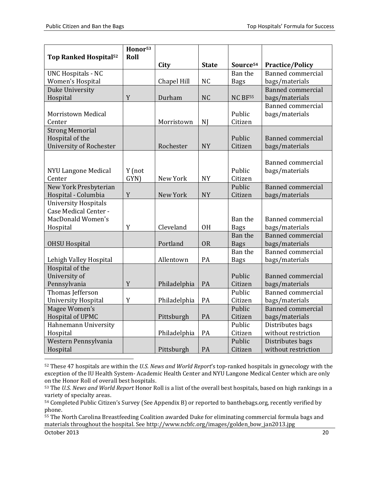| Source <sup>54</sup><br>City<br><b>State</b><br><b>Practice/Policy</b><br><b>Banned commercial</b><br><b>UNC Hospitals - NC</b><br>Ban the<br>Women's Hospital<br>Chapel Hill<br><b>NC</b><br>bags/materials<br><b>Bags</b><br><b>Banned commercial</b><br>Duke University<br>Hospital<br>Y<br>Durham<br><b>NC</b><br><b>NC BF55</b><br>bags/materials<br><b>Banned commercial</b><br><b>Morristown Medical</b><br>Public<br>bags/materials<br>Center<br>Morristown<br>NJ<br>Citizen<br><b>Strong Memorial</b><br>Hospital of the<br>Public<br><b>Banned commercial</b><br><b>University of Rochester</b><br>Rochester<br><b>NY</b><br>Citizen<br>bags/materials<br><b>Banned commercial</b><br>Public<br>bags/materials<br><b>NYU Langone Medical</b><br>Y (not<br>GYN)<br>New York<br><b>NY</b><br>Citizen<br>Center<br>New York Presbyterian<br><b>Banned commercial</b><br>Public<br>Y<br>Hospital - Columbia<br>New York<br><b>NY</b><br>Citizen<br>bags/materials<br><b>University Hospitals</b><br>Case Medical Center -<br>MacDonald Women's<br>Ban the<br><b>Banned commercial</b><br>Y<br>Cleveland<br><b>OH</b><br><b>Bags</b><br>bags/materials<br>Hospital<br><b>Ban</b> the<br><b>Banned commercial</b><br><b>OR</b><br><b>OHSU Hospital</b><br>Portland<br><b>Bags</b><br>bags/materials<br>Ban the<br><b>Banned commercial</b><br>Allentown<br>PA<br>Lehigh Valley Hospital<br>bags/materials<br><b>Bags</b><br>Hospital of the<br>University of<br>Public<br><b>Banned commercial</b><br>Y<br>PA<br>Pennsylvania<br>Philadelphia<br>Citizen<br>bags/materials<br>Thomas Jefferson<br>Public<br><b>Banned commercial</b><br>Y<br><b>University Hospital</b><br>Philadelphia<br>PA<br>Citizen<br>bags/materials<br>Magee Women's<br>Public<br><b>Banned commercial</b><br>Hospital of UPMC<br>Pittsburgh<br>PA<br>Citizen<br>bags/materials<br>Distributes bags<br>Hahnemann University<br>Public<br>PA<br>without restriction<br>Hospital<br>Philadelphia<br>Citizen<br>Western Pennsylvania<br>Distributes bags<br>Public | <b>Top Ranked Hospital<sup>52</sup></b> | Honor <sup>53</sup><br>Roll |  |  |
|--------------------------------------------------------------------------------------------------------------------------------------------------------------------------------------------------------------------------------------------------------------------------------------------------------------------------------------------------------------------------------------------------------------------------------------------------------------------------------------------------------------------------------------------------------------------------------------------------------------------------------------------------------------------------------------------------------------------------------------------------------------------------------------------------------------------------------------------------------------------------------------------------------------------------------------------------------------------------------------------------------------------------------------------------------------------------------------------------------------------------------------------------------------------------------------------------------------------------------------------------------------------------------------------------------------------------------------------------------------------------------------------------------------------------------------------------------------------------------------------------------------------------------------------------------------------------------------------------------------------------------------------------------------------------------------------------------------------------------------------------------------------------------------------------------------------------------------------------------------------------------------------------------------------------------------------------------------------------------------------------------------------------------------------|-----------------------------------------|-----------------------------|--|--|
|                                                                                                                                                                                                                                                                                                                                                                                                                                                                                                                                                                                                                                                                                                                                                                                                                                                                                                                                                                                                                                                                                                                                                                                                                                                                                                                                                                                                                                                                                                                                                                                                                                                                                                                                                                                                                                                                                                                                                                                                                                            |                                         |                             |  |  |
|                                                                                                                                                                                                                                                                                                                                                                                                                                                                                                                                                                                                                                                                                                                                                                                                                                                                                                                                                                                                                                                                                                                                                                                                                                                                                                                                                                                                                                                                                                                                                                                                                                                                                                                                                                                                                                                                                                                                                                                                                                            |                                         |                             |  |  |
|                                                                                                                                                                                                                                                                                                                                                                                                                                                                                                                                                                                                                                                                                                                                                                                                                                                                                                                                                                                                                                                                                                                                                                                                                                                                                                                                                                                                                                                                                                                                                                                                                                                                                                                                                                                                                                                                                                                                                                                                                                            |                                         |                             |  |  |
|                                                                                                                                                                                                                                                                                                                                                                                                                                                                                                                                                                                                                                                                                                                                                                                                                                                                                                                                                                                                                                                                                                                                                                                                                                                                                                                                                                                                                                                                                                                                                                                                                                                                                                                                                                                                                                                                                                                                                                                                                                            |                                         |                             |  |  |
|                                                                                                                                                                                                                                                                                                                                                                                                                                                                                                                                                                                                                                                                                                                                                                                                                                                                                                                                                                                                                                                                                                                                                                                                                                                                                                                                                                                                                                                                                                                                                                                                                                                                                                                                                                                                                                                                                                                                                                                                                                            |                                         |                             |  |  |
|                                                                                                                                                                                                                                                                                                                                                                                                                                                                                                                                                                                                                                                                                                                                                                                                                                                                                                                                                                                                                                                                                                                                                                                                                                                                                                                                                                                                                                                                                                                                                                                                                                                                                                                                                                                                                                                                                                                                                                                                                                            |                                         |                             |  |  |
|                                                                                                                                                                                                                                                                                                                                                                                                                                                                                                                                                                                                                                                                                                                                                                                                                                                                                                                                                                                                                                                                                                                                                                                                                                                                                                                                                                                                                                                                                                                                                                                                                                                                                                                                                                                                                                                                                                                                                                                                                                            |                                         |                             |  |  |
|                                                                                                                                                                                                                                                                                                                                                                                                                                                                                                                                                                                                                                                                                                                                                                                                                                                                                                                                                                                                                                                                                                                                                                                                                                                                                                                                                                                                                                                                                                                                                                                                                                                                                                                                                                                                                                                                                                                                                                                                                                            |                                         |                             |  |  |
|                                                                                                                                                                                                                                                                                                                                                                                                                                                                                                                                                                                                                                                                                                                                                                                                                                                                                                                                                                                                                                                                                                                                                                                                                                                                                                                                                                                                                                                                                                                                                                                                                                                                                                                                                                                                                                                                                                                                                                                                                                            |                                         |                             |  |  |
|                                                                                                                                                                                                                                                                                                                                                                                                                                                                                                                                                                                                                                                                                                                                                                                                                                                                                                                                                                                                                                                                                                                                                                                                                                                                                                                                                                                                                                                                                                                                                                                                                                                                                                                                                                                                                                                                                                                                                                                                                                            |                                         |                             |  |  |
|                                                                                                                                                                                                                                                                                                                                                                                                                                                                                                                                                                                                                                                                                                                                                                                                                                                                                                                                                                                                                                                                                                                                                                                                                                                                                                                                                                                                                                                                                                                                                                                                                                                                                                                                                                                                                                                                                                                                                                                                                                            |                                         |                             |  |  |
|                                                                                                                                                                                                                                                                                                                                                                                                                                                                                                                                                                                                                                                                                                                                                                                                                                                                                                                                                                                                                                                                                                                                                                                                                                                                                                                                                                                                                                                                                                                                                                                                                                                                                                                                                                                                                                                                                                                                                                                                                                            |                                         |                             |  |  |
|                                                                                                                                                                                                                                                                                                                                                                                                                                                                                                                                                                                                                                                                                                                                                                                                                                                                                                                                                                                                                                                                                                                                                                                                                                                                                                                                                                                                                                                                                                                                                                                                                                                                                                                                                                                                                                                                                                                                                                                                                                            |                                         |                             |  |  |
|                                                                                                                                                                                                                                                                                                                                                                                                                                                                                                                                                                                                                                                                                                                                                                                                                                                                                                                                                                                                                                                                                                                                                                                                                                                                                                                                                                                                                                                                                                                                                                                                                                                                                                                                                                                                                                                                                                                                                                                                                                            |                                         |                             |  |  |
|                                                                                                                                                                                                                                                                                                                                                                                                                                                                                                                                                                                                                                                                                                                                                                                                                                                                                                                                                                                                                                                                                                                                                                                                                                                                                                                                                                                                                                                                                                                                                                                                                                                                                                                                                                                                                                                                                                                                                                                                                                            |                                         |                             |  |  |
|                                                                                                                                                                                                                                                                                                                                                                                                                                                                                                                                                                                                                                                                                                                                                                                                                                                                                                                                                                                                                                                                                                                                                                                                                                                                                                                                                                                                                                                                                                                                                                                                                                                                                                                                                                                                                                                                                                                                                                                                                                            |                                         |                             |  |  |
|                                                                                                                                                                                                                                                                                                                                                                                                                                                                                                                                                                                                                                                                                                                                                                                                                                                                                                                                                                                                                                                                                                                                                                                                                                                                                                                                                                                                                                                                                                                                                                                                                                                                                                                                                                                                                                                                                                                                                                                                                                            |                                         |                             |  |  |
|                                                                                                                                                                                                                                                                                                                                                                                                                                                                                                                                                                                                                                                                                                                                                                                                                                                                                                                                                                                                                                                                                                                                                                                                                                                                                                                                                                                                                                                                                                                                                                                                                                                                                                                                                                                                                                                                                                                                                                                                                                            |                                         |                             |  |  |
|                                                                                                                                                                                                                                                                                                                                                                                                                                                                                                                                                                                                                                                                                                                                                                                                                                                                                                                                                                                                                                                                                                                                                                                                                                                                                                                                                                                                                                                                                                                                                                                                                                                                                                                                                                                                                                                                                                                                                                                                                                            |                                         |                             |  |  |
|                                                                                                                                                                                                                                                                                                                                                                                                                                                                                                                                                                                                                                                                                                                                                                                                                                                                                                                                                                                                                                                                                                                                                                                                                                                                                                                                                                                                                                                                                                                                                                                                                                                                                                                                                                                                                                                                                                                                                                                                                                            |                                         |                             |  |  |
|                                                                                                                                                                                                                                                                                                                                                                                                                                                                                                                                                                                                                                                                                                                                                                                                                                                                                                                                                                                                                                                                                                                                                                                                                                                                                                                                                                                                                                                                                                                                                                                                                                                                                                                                                                                                                                                                                                                                                                                                                                            |                                         |                             |  |  |
|                                                                                                                                                                                                                                                                                                                                                                                                                                                                                                                                                                                                                                                                                                                                                                                                                                                                                                                                                                                                                                                                                                                                                                                                                                                                                                                                                                                                                                                                                                                                                                                                                                                                                                                                                                                                                                                                                                                                                                                                                                            |                                         |                             |  |  |
|                                                                                                                                                                                                                                                                                                                                                                                                                                                                                                                                                                                                                                                                                                                                                                                                                                                                                                                                                                                                                                                                                                                                                                                                                                                                                                                                                                                                                                                                                                                                                                                                                                                                                                                                                                                                                                                                                                                                                                                                                                            |                                         |                             |  |  |
|                                                                                                                                                                                                                                                                                                                                                                                                                                                                                                                                                                                                                                                                                                                                                                                                                                                                                                                                                                                                                                                                                                                                                                                                                                                                                                                                                                                                                                                                                                                                                                                                                                                                                                                                                                                                                                                                                                                                                                                                                                            |                                         |                             |  |  |
|                                                                                                                                                                                                                                                                                                                                                                                                                                                                                                                                                                                                                                                                                                                                                                                                                                                                                                                                                                                                                                                                                                                                                                                                                                                                                                                                                                                                                                                                                                                                                                                                                                                                                                                                                                                                                                                                                                                                                                                                                                            |                                         |                             |  |  |
|                                                                                                                                                                                                                                                                                                                                                                                                                                                                                                                                                                                                                                                                                                                                                                                                                                                                                                                                                                                                                                                                                                                                                                                                                                                                                                                                                                                                                                                                                                                                                                                                                                                                                                                                                                                                                                                                                                                                                                                                                                            |                                         |                             |  |  |
|                                                                                                                                                                                                                                                                                                                                                                                                                                                                                                                                                                                                                                                                                                                                                                                                                                                                                                                                                                                                                                                                                                                                                                                                                                                                                                                                                                                                                                                                                                                                                                                                                                                                                                                                                                                                                                                                                                                                                                                                                                            |                                         |                             |  |  |
|                                                                                                                                                                                                                                                                                                                                                                                                                                                                                                                                                                                                                                                                                                                                                                                                                                                                                                                                                                                                                                                                                                                                                                                                                                                                                                                                                                                                                                                                                                                                                                                                                                                                                                                                                                                                                                                                                                                                                                                                                                            |                                         |                             |  |  |
|                                                                                                                                                                                                                                                                                                                                                                                                                                                                                                                                                                                                                                                                                                                                                                                                                                                                                                                                                                                                                                                                                                                                                                                                                                                                                                                                                                                                                                                                                                                                                                                                                                                                                                                                                                                                                                                                                                                                                                                                                                            |                                         |                             |  |  |
|                                                                                                                                                                                                                                                                                                                                                                                                                                                                                                                                                                                                                                                                                                                                                                                                                                                                                                                                                                                                                                                                                                                                                                                                                                                                                                                                                                                                                                                                                                                                                                                                                                                                                                                                                                                                                                                                                                                                                                                                                                            |                                         |                             |  |  |
|                                                                                                                                                                                                                                                                                                                                                                                                                                                                                                                                                                                                                                                                                                                                                                                                                                                                                                                                                                                                                                                                                                                                                                                                                                                                                                                                                                                                                                                                                                                                                                                                                                                                                                                                                                                                                                                                                                                                                                                                                                            |                                         |                             |  |  |
|                                                                                                                                                                                                                                                                                                                                                                                                                                                                                                                                                                                                                                                                                                                                                                                                                                                                                                                                                                                                                                                                                                                                                                                                                                                                                                                                                                                                                                                                                                                                                                                                                                                                                                                                                                                                                                                                                                                                                                                                                                            |                                         |                             |  |  |
|                                                                                                                                                                                                                                                                                                                                                                                                                                                                                                                                                                                                                                                                                                                                                                                                                                                                                                                                                                                                                                                                                                                                                                                                                                                                                                                                                                                                                                                                                                                                                                                                                                                                                                                                                                                                                                                                                                                                                                                                                                            |                                         |                             |  |  |
|                                                                                                                                                                                                                                                                                                                                                                                                                                                                                                                                                                                                                                                                                                                                                                                                                                                                                                                                                                                                                                                                                                                                                                                                                                                                                                                                                                                                                                                                                                                                                                                                                                                                                                                                                                                                                                                                                                                                                                                                                                            |                                         |                             |  |  |
| PA<br>Hospital<br>Pittsburgh<br>Citizen<br>without restriction                                                                                                                                                                                                                                                                                                                                                                                                                                                                                                                                                                                                                                                                                                                                                                                                                                                                                                                                                                                                                                                                                                                                                                                                                                                                                                                                                                                                                                                                                                                                                                                                                                                                                                                                                                                                                                                                                                                                                                             |                                         |                             |  |  |

<sup>52</sup> These 47 hospitals are within the *U.S. News and World Report*'s top-ranked hospitals in gynecology with the exception of the IU Health System- Academic Health Center and NYU Langone Medical Center which are only on the Honor Roll of overall best hospitals.

<sup>55</sup> The North Carolina Breastfeeding Coalition awarded Duke for eliminating commercial formula bags and materials throughout the hospital. See [http://www.ncbfc.org/images/golden\\_bow\\_jan2013.jpg](http://www.ncbfc.org/images/golden_bow_jan2013.jpg)

October 2013 20

<sup>53</sup> The *U.S. News and World Report* Honor Roll is a list of the overall best hospitals, based on high rankings in a variety of specialty areas.

<sup>54</sup> Completed Public Citizen's Survey (See Appendix B) or reported to banthebags.org, recently verified by phone.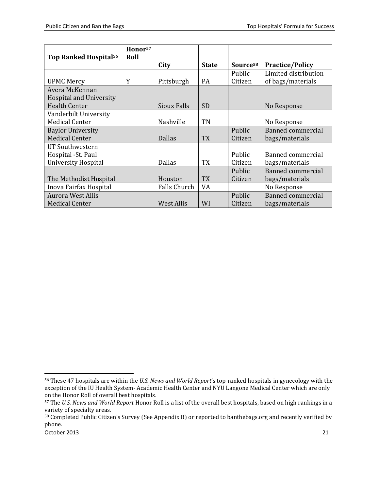| Top Ranked Hospital <sup>56</sup> | Honor <sup>57</sup><br>Roll |                    |              |                      |                          |
|-----------------------------------|-----------------------------|--------------------|--------------|----------------------|--------------------------|
|                                   |                             | City               | <b>State</b> | Source <sup>58</sup> | <b>Practice/Policy</b>   |
|                                   |                             |                    |              | <b>Public</b>        | Limited distribution     |
| <b>UPMC Mercy</b>                 | Y                           | Pittsburgh         | <b>PA</b>    | Citizen              | of bags/materials        |
| Avera McKennan                    |                             |                    |              |                      |                          |
| <b>Hospital and University</b>    |                             |                    |              |                      |                          |
| <b>Health Center</b>              |                             | <b>Sioux Falls</b> | <b>SD</b>    |                      | No Response              |
| Vanderbilt University             |                             |                    |              |                      |                          |
| <b>Medical Center</b>             |                             | Nashville          | <b>TN</b>    |                      | No Response              |
| <b>Baylor University</b>          |                             |                    |              | Public               | Banned commercial        |
| <b>Medical Center</b>             |                             | <b>Dallas</b>      | <b>TX</b>    | Citizen              | bags/materials           |
| UT Southwestern                   |                             |                    |              |                      |                          |
| Hospital - St. Paul               |                             |                    |              | Public               | <b>Banned commercial</b> |
| <b>University Hospital</b>        |                             | <b>Dallas</b>      | <b>TX</b>    | Citizen              | bags/materials           |
|                                   |                             |                    |              | Public               | <b>Banned commercial</b> |
| The Methodist Hospital            |                             | Houston            | <b>TX</b>    | Citizen              | bags/materials           |
| Inova Fairfax Hospital            |                             | Falls Church       | VA           |                      | No Response              |
| <b>Aurora West Allis</b>          |                             |                    |              | Public               | <b>Banned commercial</b> |
| <b>Medical Center</b>             |                             | <b>West Allis</b>  | WI           | Citizen              | bags/materials           |

<span id="page-20-0"></span>l <sup>56</sup> These 47 hospitals are within the *U.S. News and World Report*'s top-ranked hospitals in gynecology with the exception of the IU Health System- Academic Health Center and NYU Langone Medical Center which are only on the Honor Roll of overall best hospitals.

<sup>57</sup> The *U.S. News and World Report* Honor Roll is a list of the overall best hospitals, based on high rankings in a variety of specialty areas.

<sup>58</sup> Completed Public Citizen's Survey (See Appendix B) or reported to banthebags.org and recently verified by phone.

October 2013 21